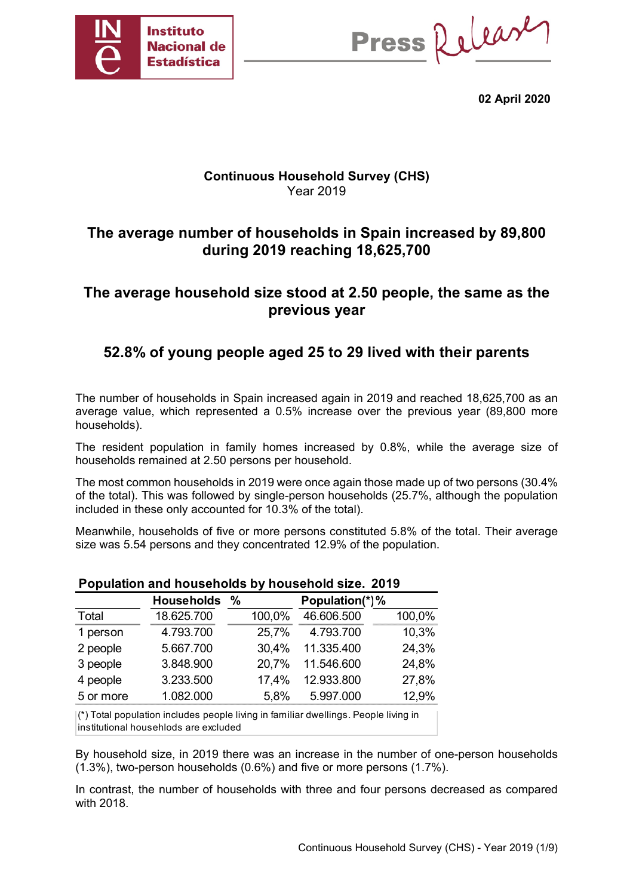

Press Release

**02 April 2020** 

## **Continuous Household Survey (CHS)**  Year 2019

# **The average number of households in Spain increased by 89,800 during 2019 reaching 18,625,700**

# **The average household size stood at 2.50 people, the same as the previous year**

# **52.8% of young people aged 25 to 29 lived with their parents**

The number of households in Spain increased again in 2019 and reached 18,625,700 as an average value, which represented a 0.5% increase over the previous year (89,800 more households).

The resident population in family homes increased by 0.8%, while the average size of households remained at 2.50 persons per household.

The most common households in 2019 were once again those made up of two persons (30.4% of the total). This was followed by single-person households (25.7%, although the population included in these only accounted for 10.3% of the total).

Meanwhile, households of five or more persons constituted 5.8% of the total. Their average size was 5.54 persons and they concentrated 12.9% of the population.

|           | <b>Households</b> | $\frac{0}{0}$ | Population(*)% |        |  |  |  |
|-----------|-------------------|---------------|----------------|--------|--|--|--|
| Total     | 18.625.700        | 100,0%        | 46.606.500     | 100,0% |  |  |  |
| 1 person  | 4.793.700         | 25,7%         | 4.793.700      | 10,3%  |  |  |  |
| 2 people  | 5.667.700         | 30,4%         | 11.335.400     | 24,3%  |  |  |  |
| 3 people  | 3.848.900         | 20,7%         | 11.546.600     | 24,8%  |  |  |  |
| 4 people  | 3.233.500         | 17,4%         | 12.933.800     | 27,8%  |  |  |  |
| 5 or more | 1.082.000         | 5,8%          | 5.997.000      | 12,9%  |  |  |  |

## **Population and households by household size. 2019**

(\*) Total population includes people living in familiar dwellings. People living in institutional househlods are excluded

By household size, in 2019 there was an increase in the number of one-person households (1.3%), two-person households (0.6%) and five or more persons (1.7%).

In contrast, the number of households with three and four persons decreased as compared with 2018.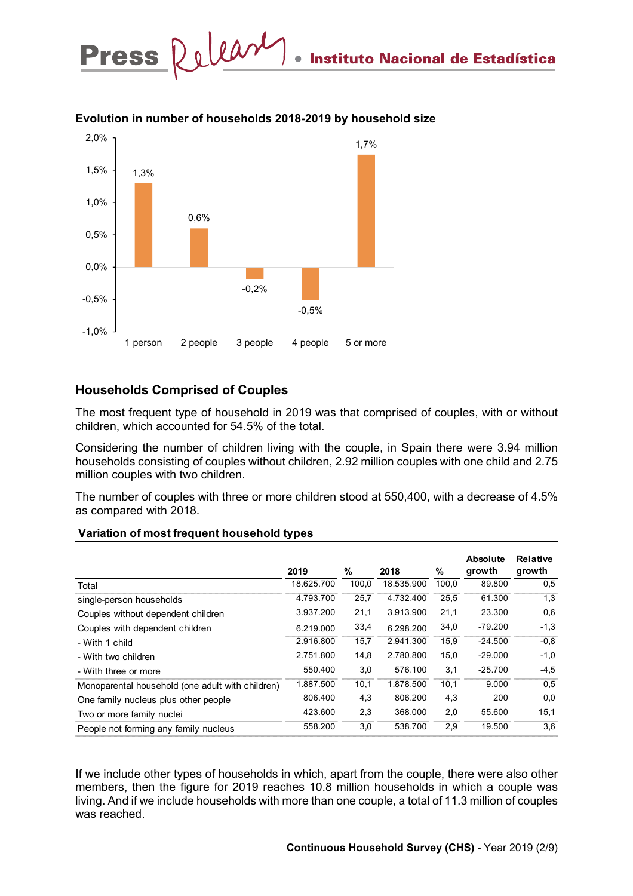

#### **Evolution in number of households 2018-2019 by household size**

## **Households Comprised of Couples**

The most frequent type of household in 2019 was that comprised of couples, with or without children, which accounted for 54.5% of the total.

Considering the number of children living with the couple, in Spain there were 3.94 million households consisting of couples without children, 2.92 million couples with one child and 2.75 million couples with two children.

The number of couples with three or more children stood at 550,400, with a decrease of 4.5% as compared with 2018.

|                                                  | 2019       | %     | 2018       | %     | <b>Absolute</b><br>growth | <b>Relative</b><br>growth |
|--------------------------------------------------|------------|-------|------------|-------|---------------------------|---------------------------|
| Total                                            | 18.625.700 | 100,0 | 18.535.900 | 100,0 | 89.800                    | 0.5                       |
| single-person households                         | 4.793.700  | 25,7  | 4.732.400  | 25,5  | 61.300                    | 1,3                       |
| Couples without dependent children               | 3.937.200  | 21,1  | 3.913.900  | 21,1  | 23.300                    | 0,6                       |
| Couples with dependent children                  | 6.219.000  | 33,4  | 6.298.200  | 34,0  | $-79.200$                 | $-1,3$                    |
| - With 1 child                                   | 2.916.800  | 15,7  | 2.941.300  | 15,9  | $-24.500$                 | $-0.8$                    |
| - With two children                              | 2.751.800  | 14,8  | 2.780.800  | 15,0  | $-29.000$                 | $-1,0$                    |
| - With three or more                             | 550.400    | 3,0   | 576.100    | 3,1   | $-25.700$                 | $-4,5$                    |
| Monoparental household (one adult with children) | 1.887.500  | 10,1  | 1.878.500  | 10,1  | 9.000                     | 0,5                       |
| One family nucleus plus other people             | 806.400    | 4,3   | 806.200    | 4,3   | 200                       | 0,0                       |
| Two or more family nuclei                        | 423.600    | 2,3   | 368,000    | 2,0   | 55.600                    | 15,1                      |
| People not forming any family nucleus            | 558.200    | 3,0   | 538.700    | 2,9   | 19.500                    | 3,6                       |

#### **Variation of most frequent household types**

If we include other types of households in which, apart from the couple, there were also other members, then the figure for 2019 reaches 10.8 million households in which a couple was living. And if we include households with more than one couple, a total of 11.3 million of couples was reached.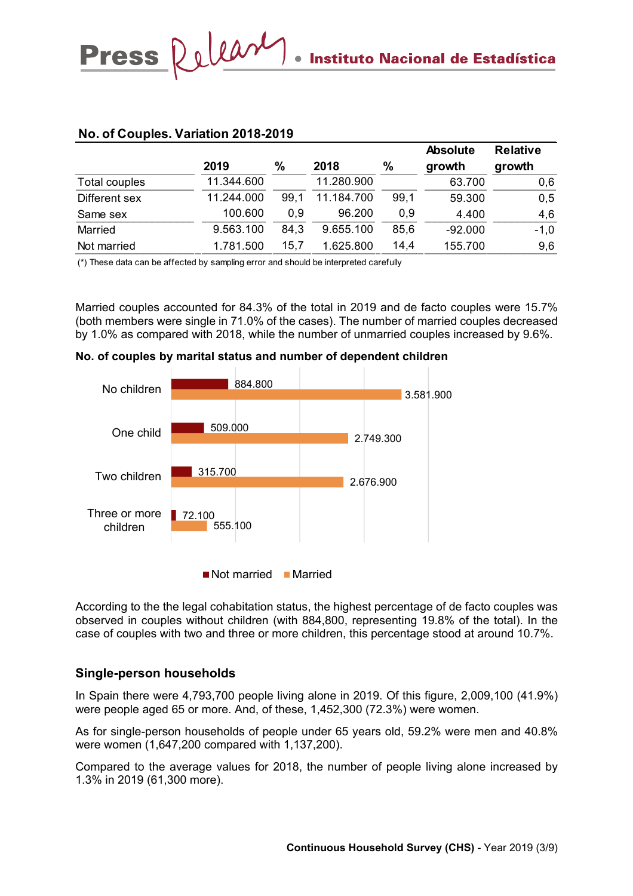|               | 2019       | $\frac{0}{0}$ | 2018       | $\frac{0}{0}$ | <b>Absolute</b><br>growth | <b>Relative</b><br>growth |
|---------------|------------|---------------|------------|---------------|---------------------------|---------------------------|
| Total couples | 11.344.600 |               | 11.280.900 |               | 63.700                    | 0,6                       |
| Different sex | 11.244.000 | 99.1          | 11.184.700 | 99,1          | 59.300                    | 0,5                       |
| Same sex      | 100.600    | 0.9           | 96.200     | 0.9           | 4.400                     | 4,6                       |
| Married       | 9.563.100  | 84,3          | 9.655.100  | 85,6          | $-92.000$                 | $-1,0$                    |
| Not married   | 1.781.500  | 15,7          | 1.625.800  | 14,4          | 155.700                   | 9,6                       |

### **No. of Couples. Variation 2018-2019**

Press Relear

(\*) These data can be affected by sampling error and should be interpreted carefully

Married couples accounted for 84.3% of the total in 2019 and de facto couples were 15.7% (both members were single in 71.0% of the cases). The number of married couples decreased by 1.0% as compared with 2018, while the number of unmarried couples increased by 9.6%.



#### **No. of couples by marital status and number of dependent children**

Not married Married

According to the the legal cohabitation status, the highest percentage of de facto couples was observed in couples without children (with 884,800, representing 19.8% of the total). In the case of couples with two and three or more children, this percentage stood at around 10.7%.

#### **Single-person households**

In Spain there were 4,793,700 people living alone in 2019. Of this figure, 2,009,100 (41.9%) were people aged 65 or more. And, of these, 1,452,300 (72.3%) were women.

As for single-person households of people under 65 years old, 59.2% were men and 40.8% were women (1,647,200 compared with 1,137,200).

Compared to the average values for 2018, the number of people living alone increased by 1.3% in 2019 (61,300 more).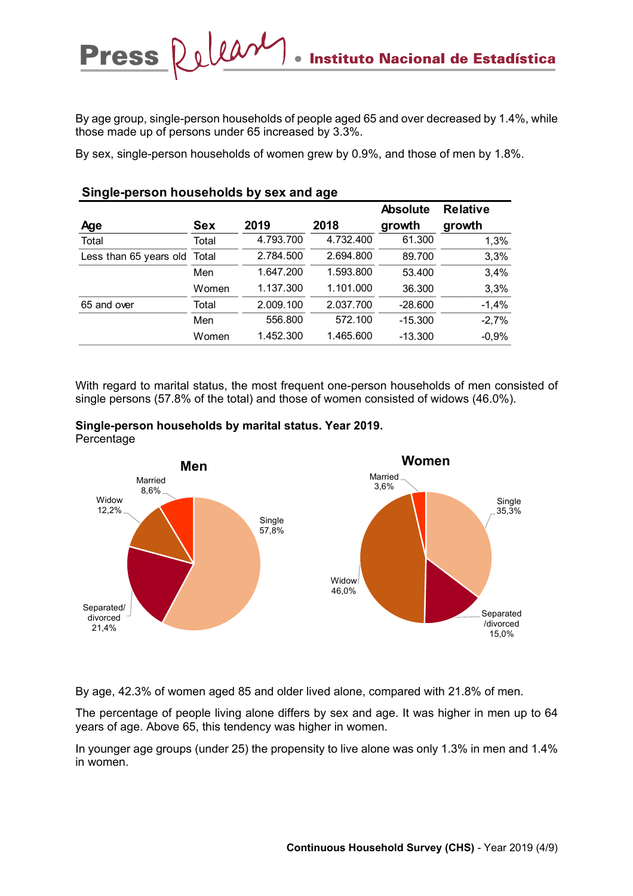By age group, single-person households of people aged 65 and over decreased by 1.4%, while those made up of persons under 65 increased by 3.3%.

By sex, single-person households of women grew by 0.9%, and those of men by 1.8%.

|                              |            |           |           | <b>Absolute</b> | <b>Relative</b> |
|------------------------------|------------|-----------|-----------|-----------------|-----------------|
| <b>Age</b>                   | <b>Sex</b> | 2019      | 2018      | growth          | growth          |
| Total                        | Total      | 4.793.700 | 4.732.400 | 61.300          | 1,3%            |
| Less than 65 years old Total |            | 2.784.500 | 2.694.800 | 89.700          | 3,3%            |
|                              | Men        | 1.647.200 | 1.593.800 | 53.400          | 3,4%            |
|                              | Women      | 1.137.300 | 1.101.000 | 36.300          | 3,3%            |
| 65 and over                  | Total      | 2.009.100 | 2.037.700 | $-28.600$       | $-1,4%$         |
|                              | Men        | 556.800   | 572.100   | $-15.300$       | $-2,7%$         |
|                              | Women      | 1.452.300 | 1.465.600 | $-13.300$       | $-0,9%$         |

With regard to marital status, the most frequent one-person households of men consisted of single persons (57.8% of the total) and those of women consisted of widows (46.0%).



**Single-person households by sex and age**

Press Relear



By age, 42.3% of women aged 85 and older lived alone, compared with 21.8% of men.

The percentage of people living alone differs by sex and age. It was higher in men up to 64 years of age. Above 65, this tendency was higher in women.

In younger age groups (under 25) the propensity to live alone was only 1.3% in men and 1.4% in women.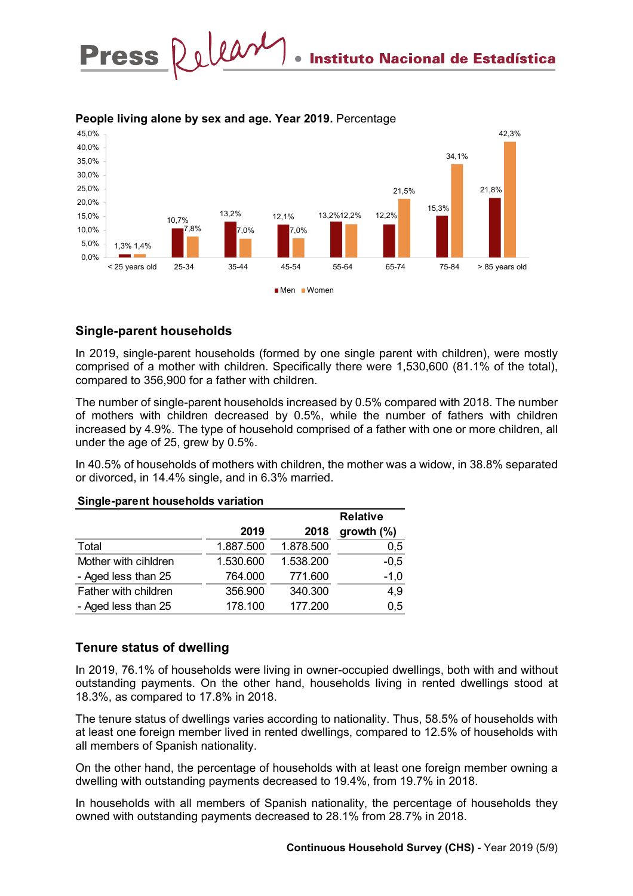

#### **People living alone by sex and age. Year 2019.** Percentage

## **Single-parent households**

In 2019, single-parent households (formed by one single parent with children), were mostly comprised of a mother with children. Specifically there were 1,530,600 (81.1% of the total), compared to 356,900 for a father with children.

The number of single-parent households increased by 0.5% compared with 2018. The number of mothers with children decreased by 0.5%, while the number of fathers with children increased by 4.9%. The type of household comprised of a father with one or more children, all under the age of 25, grew by 0.5%.

In 40.5% of households of mothers with children, the mother was a widow, in 38.8% separated or divorced, in 14.4% single, and in 6.3% married.

|                      |           |           | <b>Relative</b> |
|----------------------|-----------|-----------|-----------------|
|                      | 2019      | 2018      | growth $(\%)$   |
| Total                | 1.887.500 | 1.878.500 | 0,5             |
| Mother with cihldren | 1.530.600 | 1.538.200 | $-0,5$          |
| - Aged less than 25  | 764.000   | 771.600   | $-1,0$          |
| Father with children | 356.900   | 340.300   | 4,9             |
| - Aged less than 25  | 178.100   | 177.200   | 0.5             |

#### **Single-parent households variation**

## **Tenure status of dwelling**

In 2019, 76.1% of households were living in owner-occupied dwellings, both with and without outstanding payments. On the other hand, households living in rented dwellings stood at 18.3%, as compared to 17.8% in 2018.

The tenure status of dwellings varies according to nationality. Thus, 58.5% of households with at least one foreign member lived in rented dwellings, compared to 12.5% of households with all members of Spanish nationality.

On the other hand, the percentage of households with at least one foreign member owning a dwelling with outstanding payments decreased to 19.4%, from 19.7% in 2018.

In households with all members of Spanish nationality, the percentage of households they owned with outstanding payments decreased to 28.1% from 28.7% in 2018.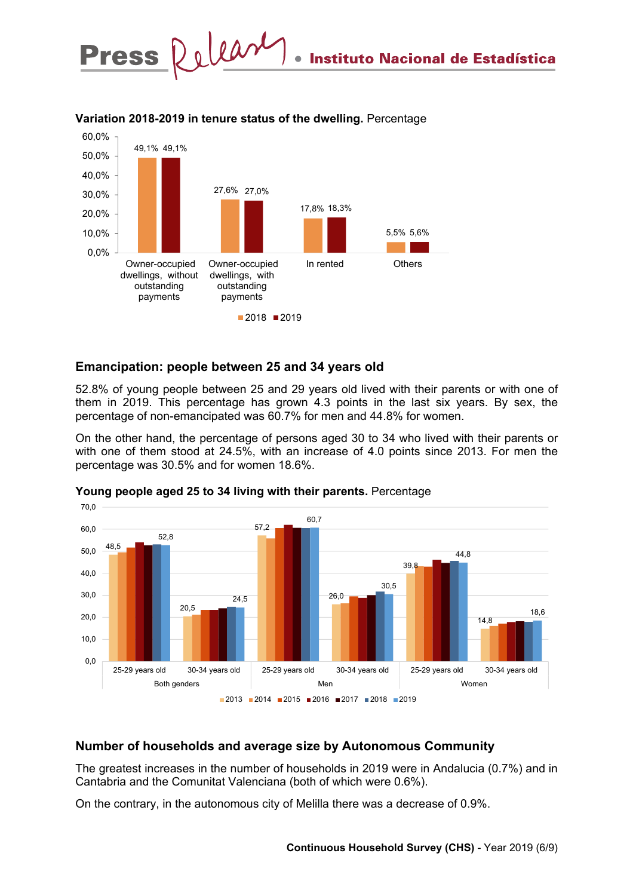

#### **Variation 2018-2019 in tenure status of the dwelling.** Percentage

## **Emancipation: people between 25 and 34 years old**

52.8% of young people between 25 and 29 years old lived with their parents or with one of them in 2019. This percentage has grown 4.3 points in the last six years. By sex, the percentage of non-emancipated was 60.7% for men and 44.8% for women.

On the other hand, the percentage of persons aged 30 to 34 who lived with their parents or with one of them stood at 24.5%, with an increase of 4.0 points since 2013. For men the percentage was 30.5% and for women 18.6%.



**Young people aged 25 to 34 living with their parents.** Percentage

## **Number of households and average size by Autonomous Community**

The greatest increases in the number of households in 2019 were in Andalucia (0.7%) and in Cantabria and the Comunitat Valenciana (both of which were 0.6%).

On the contrary, in the autonomous city of Melilla there was a decrease of 0.9%.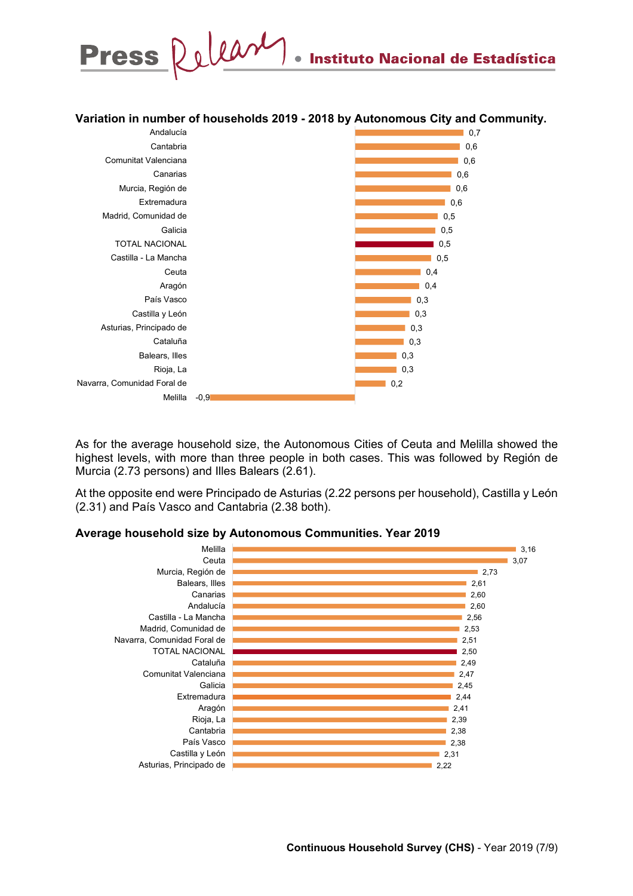

#### **Variation in number of households 2019 - 2018 by Autonomous City and Community.**



As for the average household size, the Autonomous Cities of Ceuta and Melilla showed the highest levels, with more than three people in both cases. This was followed by Región de Murcia (2.73 persons) and Illes Balears (2.61).

At the opposite end were Principado de Asturias (2.22 persons per household), Castilla y León (2.31) and País Vasco and Cantabria (2.38 both).

#### **Average household size by Autonomous Communities. Year 2019**

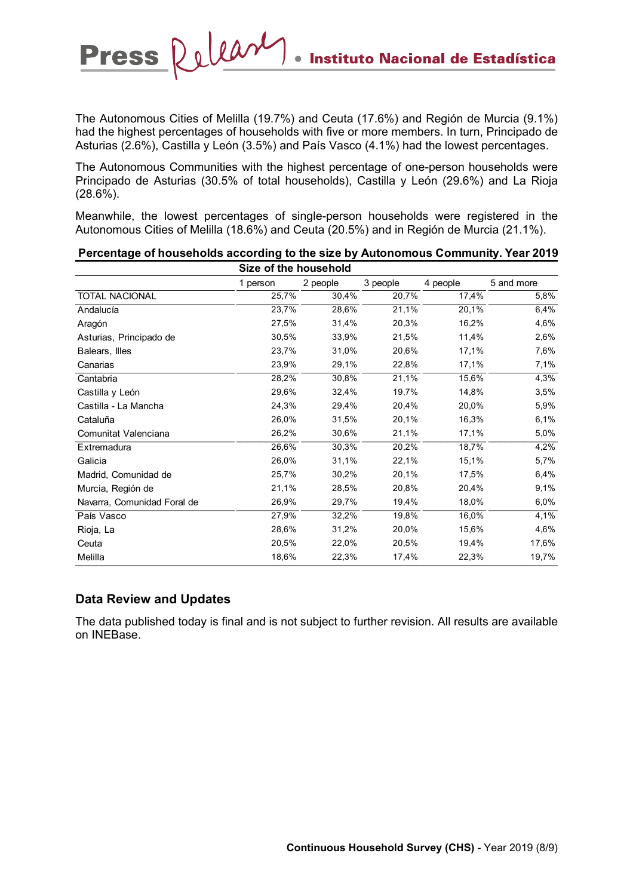The Autonomous Cities of Melilla (19.7%) and Ceuta (17.6%) and Región de Murcia (9.1%) had the highest percentages of households with five or more members. In turn, Principado de Asturias (2.6%), Castilla y León (3.5%) and País Vasco (4.1%) had the lowest percentages.

The Autonomous Communities with the highest percentage of one-person households were Principado de Asturias (30.5% of total households), Castilla y León (29.6%) and La Rioja (28.6%).

Meanwhile, the lowest percentages of single-person households were registered in the Autonomous Cities of Melilla (18.6%) and Ceuta (20.5%) and in Región de Murcia (21.1%).

| Size of the household       |          |          |          |          |            |  |  |  |
|-----------------------------|----------|----------|----------|----------|------------|--|--|--|
|                             | 1 person | 2 people | 3 people | 4 people | 5 and more |  |  |  |
| <b>TOTAL NACIONAL</b>       | 25,7%    | 30,4%    | 20,7%    | 17,4%    | 5,8%       |  |  |  |
| Andalucía                   | 23,7%    | 28,6%    | 21,1%    | 20,1%    | 6,4%       |  |  |  |
| Aragón                      | 27,5%    | 31,4%    | 20,3%    | 16,2%    | 4,6%       |  |  |  |
| Asturias, Principado de     | 30,5%    | 33,9%    | 21,5%    | 11,4%    | 2,6%       |  |  |  |
| Balears, Illes              | 23,7%    | 31,0%    | 20,6%    | 17,1%    | 7,6%       |  |  |  |
| Canarias                    | 23,9%    | 29,1%    | 22,8%    | 17,1%    | 7,1%       |  |  |  |
| Cantabria                   | 28,2%    | 30,8%    | 21,1%    | 15,6%    | 4,3%       |  |  |  |
| Castilla y León             | 29,6%    | 32,4%    | 19,7%    | 14,8%    | 3,5%       |  |  |  |
| Castilla - La Mancha        | 24,3%    | 29,4%    | 20,4%    | 20,0%    | 5,9%       |  |  |  |
| Cataluña                    | 26,0%    | 31,5%    | 20,1%    | 16,3%    | 6,1%       |  |  |  |
| Comunitat Valenciana        | 26,2%    | 30,6%    | 21,1%    | 17,1%    | 5,0%       |  |  |  |
| Extremadura                 | 26,6%    | 30,3%    | 20,2%    | 18,7%    | 4,2%       |  |  |  |
| Galicia                     | 26,0%    | 31,1%    | 22,1%    | 15,1%    | 5,7%       |  |  |  |
| Madrid, Comunidad de        | 25,7%    | 30,2%    | 20,1%    | 17,5%    | 6,4%       |  |  |  |
| Murcia, Región de           | 21,1%    | 28,5%    | 20,8%    | 20,4%    | 9,1%       |  |  |  |
| Navarra, Comunidad Foral de | 26,9%    | 29,7%    | 19,4%    | 18,0%    | 6,0%       |  |  |  |
| País Vasco                  | 27,9%    | 32,2%    | 19,8%    | 16,0%    | 4,1%       |  |  |  |
| Rioja, La                   | 28,6%    | 31,2%    | 20,0%    | 15,6%    | 4,6%       |  |  |  |
| Ceuta                       | 20,5%    | 22,0%    | 20,5%    | 19,4%    | 17,6%      |  |  |  |
| Melilla                     | 18,6%    | 22,3%    | 17,4%    | 22,3%    | 19,7%      |  |  |  |

# **Percentage of households according to the size by Autonomous Community. Year 2019**

#### **Data Review and Updates**

Press Releary

The data published today is final and is not subject to further revision. All results are available on INEBase.